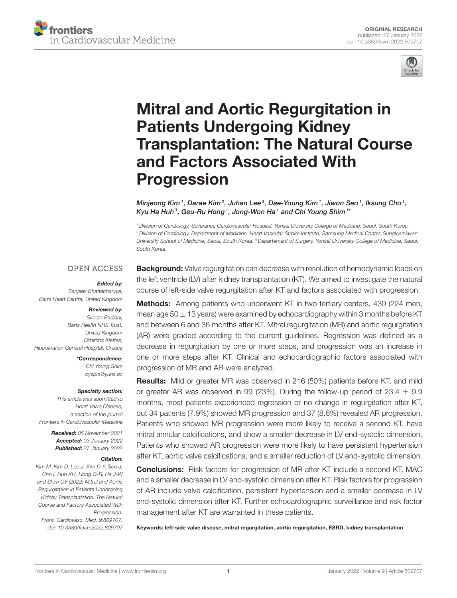



# Mitral and Aortic Regurgitation in Patients Undergoing Kidney [Transplantation: The Natural Course](https://www.frontiersin.org/articles/10.3389/fcvm.2022.809707/full) and Factors Associated With Progression

Minjeong Kim $^{\,1}$ , Darae Kim $^2$ , Juhan Lee $^3$ , Dae-Young Kim $^{\,1}$ , Jiwon Seo $^{\,1}$ , Iksung Cho $^{\,1}$ , Kyu Ha Huh<sup>3</sup>, Geu-Ru Hong1, Jong-Won Ha1 and Chi Young Shim1\*

*<sup>1</sup> Division of Cardiology, Severance Cardiovascular Hospital, Yonsei University College of Medicine, Seoul, South Korea, <sup>2</sup> Division of Cardiology, Department of Medicine, Heart Vascular Stroke Institute, Samsung Medical Center, Sungkyunkwan University School of Medicine, Seoul, South Korea, <sup>3</sup> Departement of Surgery, Yonsei University College of Medicine, Seoul, South Korea*

#### **OPEN ACCESS**

#### Edited by:

*Sanjeev Bhattacharyya, Barts Heart Centre, United Kingdom*

#### Reviewed by:

*Sveeta Badiani, Barts Health NHS Trust, United Kingdom Dimitrios Klettas, Hippokration General Hospital, Greece*

> \*Correspondence: *Chi Young Shim [cysprs@yuhs.ac](mailto:cysprs@yuhs.ac)*

#### Specialty section:

*This article was submitted to Heart Valve Disease, a section of the journal Frontiers in Cardiovascular Medicine*

> Received: *05 November 2021* Accepted: *03 January 2022* Published: *27 January 2022*

#### Citation:

*Kim M, Kim D, Lee J, Kim D-Y, Seo J, Cho I, Huh KH, Hong G-R, Ha J-W and Shim CY (2022) Mitral and Aortic Regurgitation in Patients Undergoing Kidney Transplantation: The Natural Course and Factors Associated With Progression.*

*Front. Cardiovasc. Med. 9:809707. doi: [10.3389/fcvm.2022.809707](https://doi.org/10.3389/fcvm.2022.809707)* **Background:** Valve regurgitation can decrease with resolution of hemodynamic loads on the left ventricle (LV) after kidney transplantation (KT). We aimed to investigate the natural course of left-side valve regurgitation after KT and factors associated with progression.

**Methods:** Among patients who underwent KT in two tertiary centers, 430 (224 men, mean age  $50 \pm 13$  years) were examined by echocardiography within 3 months before KT and between 6 and 36 months after KT. Mitral regurgitation (MR) and aortic regurgitation (AR) were graded according to the current guidelines. Regression was defined as a decrease in regurgitation by one or more steps, and progression was an increase in one or more steps after KT. Clinical and echocardiographic factors associated with progression of MR and AR were analyzed.

Results: Mild or greater MR was observed in 216 (50%) patients before KT, and mild or greater AR was observed in 99 (23%). During the follow-up period of 23.4  $\pm$  9.9 months, most patients experienced regression or no change in regurgitation after KT, but 34 patients (7.9%) showed MR progression and 37 (8.6%) revealed AR progression. Patients who showed MR progression were more likely to receive a second KT, have mitral annular calcifications, and show a smaller decrease in LV end-systolic dimension. Patients who showed AR progression were more likely to have persistent hypertension after KT, aortic valve calcifications, and a smaller reduction of LV end-systolic dimension.

Conclusions: Risk factors for progression of MR after KT include a second KT, MAC and a smaller decrease in LV end-systolic dimension after KT. Risk factors for progression of AR include valve calcification, persistent hypertension and a smaller decrease in LV end-systolic dimension after KT. Further echocardiographic surveillance and risk factor management after KT are warranted in these patients.

Keywords: left-side valve disease, mitral regurgitation, aortic regurgitation, ESRD, kidney transplantation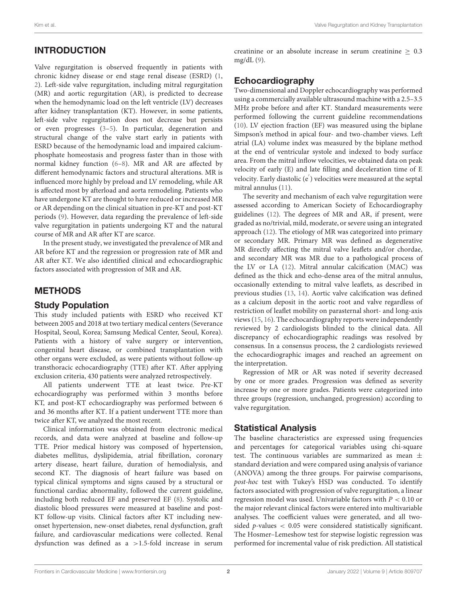# INTRODUCTION

Valve regurgitation is observed frequently in patients with chronic kidney disease or end stage renal disease (ESRD) [\(1,](#page-7-0) [2\)](#page-7-1). Left-side valve regurgitation, including mitral regurgitation (MR) and aortic regurgitation (AR), is predicted to decrease when the hemodynamic load on the left ventricle (LV) decreases after kidney transplantation (KT). However, in some patients, left-side valve regurgitation does not decrease but persists or even progresses [\(3–](#page-7-2)[5\)](#page-7-3). In particular, degeneration and structural change of the valve start early in patients with ESRD because of the hemodynamic load and impaired calciumphosphate homeostasis and progress faster than in those with normal kidney function [\(6–](#page-7-4)[8\)](#page-7-5). MR and AR are affected by different hemodynamic factors and structural alterations. MR is influenced more highly by preload and LV remodeling, while AR is affected most by afterload and aorta remodeling. Patients who have undergone KT are thought to have reduced or increased MR or AR depending on the clinical situation in pre-KT and post-KT periods [\(9\)](#page-7-6). However, data regarding the prevalence of left-side valve regurgitation in patients undergoing KT and the natural course of MR and AR after KT are scarce.

In the present study, we investigated the prevalence of MR and AR before KT and the regression or progression rate of MR and AR after KT. We also identified clinical and echocardiographic factors associated with progression of MR and AR.

### METHODS

#### Study Population

This study included patients with ESRD who received KT between 2005 and 2018 at two tertiary medical centers (Severance Hospital, Seoul, Korea; Samsung Medical Center, Seoul, Korea). Patients with a history of valve surgery or intervention, congenital heart disease, or combined transplantation with other organs were excluded, as were patients without follow-up transthoracic echocardiography (TTE) after KT. After applying exclusion criteria, 430 patients were analyzed retrospectively.

All patients underwent TTE at least twice. Pre-KT echocardiography was performed within 3 months before KT, and post-KT echocardiography was performed between 6 and 36 months after KT. If a patient underwent TTE more than twice after KT, we analyzed the most recent.

Clinical information was obtained from electronic medical records, and data were analyzed at baseline and follow-up TTE. Prior medical history was composed of hypertension, diabetes mellitus, dyslipidemia, atrial fibrillation, coronary artery disease, heart failure, duration of hemodialysis, and second KT. The diagnosis of heart failure was based on typical clinical symptoms and signs caused by a structural or functional cardiac abnormality, followed the current guideline, including both reduced EF and preserved EF [\(8\)](#page-7-5). Systolic and diastolic blood pressures were measured at baseline and post-KT follow-up visits. Clinical factors after KT including newonset hypertension, new-onset diabetes, renal dysfunction, graft failure, and cardiovascular medications were collected. Renal dysfunction was defined as a >1.5-fold increase in serum

creatinine or an absolute increase in serum creatinine  $\geq 0.3$ mg/dL [\(9\)](#page-7-6).

### Echocardiography

Two-dimensional and Doppler echocardiography was performed using a commercially available ultrasound machine with a 2.5–3.5 MHz probe before and after KT. Standard measurements were performed following the current guideline recommendations [\(10\)](#page-7-7). LV ejection fraction (EF) was measured using the biplane Simpson's method in apical four- and two-chamber views. Left atrial (LA) volume index was measured by the biplane method at the end of ventricular systole and indexed to body surface area. From the mitral inflow velocities, we obtained data on peak velocity of early (E) and late filling and deceleration time of E velocity. Early diastolic (e′ ) velocities were measured at the septal mitral annulus [\(11\)](#page-7-8).

The severity and mechanism of each valve regurgitation were assessed according to American Society of Echocardiography guidelines [\(12\)](#page-7-9). The degrees of MR and AR, if present, were graded as no/trivial, mild, moderate, or severe using an integrated approach [\(12\)](#page-7-9). The etiology of MR was categorized into primary or secondary MR. Primary MR was defined as degenerative MR directly affecting the mitral valve leaflets and/or chordae, and secondary MR was MR due to a pathological process of the LV or LA [\(12\)](#page-7-9). Mitral annular calcification (MAC) was defined as the thick and echo-dense area of the mitral annulus, occasionally extending to mitral valve leaflets, as described in previous studies [\(13,](#page-7-10) [14\)](#page-7-11). Aortic valve calcification was defined as a calcium deposit in the aortic root and valve regardless of restriction of leaflet mobility on parasternal short- and long-axis views [\(15,](#page-7-12) [16\)](#page-7-13). The echocardiography reports were independently reviewed by 2 cardiologists blinded to the clinical data. All discrepancy of echocardiographic readings was resolved by consensus. In a consensus process, the 2 cardiologists reviewed the echocardiographic images and reached an agreement on the interpretation.

Regression of MR or AR was noted if severity decreased by one or more grades. Progression was defined as severity increase by one or more grades. Patients were categorized into three groups (regression, unchanged, progression) according to valve regurgitation.

#### Statistical Analysis

The baseline characteristics are expressed using frequencies and percentages for categorical variables using chi-square test. The continuous variables are summarized as mean  $\pm$ standard deviation and were compared using analysis of variance (ANOVA) among the three groups. For pairwise comparisons, post-hoc test with Tukey's HSD was conducted. To identify factors associated with progression of valve regurgitation, a linear regression model was used. Univariable factors with  $P < 0.10$  or the major relevant clinical factors were entered into multivariable analyses. The coefficient values were generated, and all twosided  $p$ -values  $\lt$  0.05 were considered statistically significant. The Hosmer–Lemeshow test for stepwise logistic regression was performed for incremental value of risk prediction. All statistical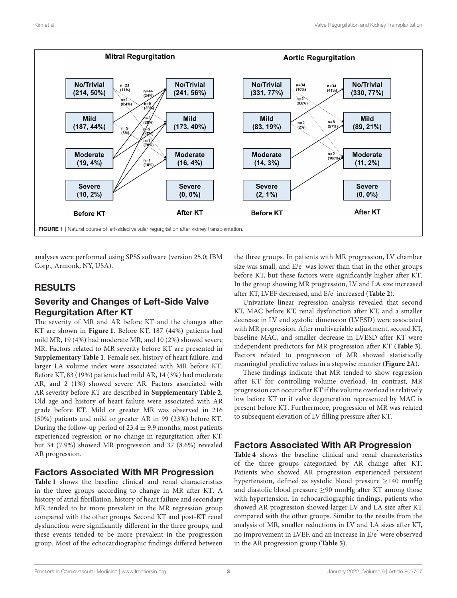

<span id="page-2-0"></span>analyses were performed using SPSS software (version 25.0; IBM Corp., Armonk, NY, USA).

# RESULTS

#### Severity and Changes of Left-Side Valve Regurgitation After KT

The severity of MR and AR before KT and the changes after KT are shown in **[Figure 1](#page-2-0)**. Before KT, 187 (44%) patients had mild MR, 19 (4%) had moderate MR, and 10 (2%) showed severe MR. Factors related to MR severity before KT are presented in **[Supplementary Table 1](#page-7-14)**. Female sex, history of heart failure, and larger LA volume index were associated with MR before KT. Before KT, 83 (19%) patients had mild AR, 14 (3%) had moderate AR, and 2 (1%) showed severe AR. Factors associated with AR severity before KT are described in **[Supplementary Table 2](#page-7-14)**. Old age and history of heart failure were associated with AR grade before KT. Mild or greater MR was observed in 216 (50%) patients and mild or greater AR in 99 (23%) before KT. During the follow-up period of  $23.4 \pm 9.9$  months, most patients experienced regression or no change in regurgitation after KT, but 34 (7.9%) showed MR progression and 37 (8.6%) revealed AR progression.

#### Factors Associated With MR Progression

**[Table 1](#page-3-0)** shows the baseline clinical and renal characteristics in the three groups according to change in MR after KT. A history of atrial fibrillation, history of heart failure and secondary MR tended to be more prevalent in the MR regression group compared with the other groups. Second KT and post-KT renal dysfunction were significantly different in the three groups, and these events tended to be more prevalent in the progression group. Most of the echocardiographic findings differed between the three groups. In patients with MR progression, LV chamber size was small, and E/e′ was lower than that in the other groups before KT, but these factors were significantly higher after KT. In the group showing MR progression, LV and LA size increased after KT, LVEF decreased, and E/e′ increased (**[Table 2](#page-3-1)**).

Univariate linear regression analysis revealed that second KT, MAC before KT, renal dysfunction after KT, and a smaller decrease in LV end systolic dimension (LVESD) were associated with MR progression. After multivariable adjustment, second KT, baseline MAC, and smaller decrease in LVESD after KT were independent predictors for MR progression after KT (**[Table 3](#page-4-0)**). Factors related to progression of MR showed statistically meaningful predictive values in a stepwise manner (**[Figure 2A](#page-4-1)**).

These findings indicate that MR tended to show regression after KT for controlling volume overload. In contrast, MR progression can occur after KT if the volume overload is relatively low before KT or if valve degeneration represented by MAC is present before KT. Furthermore, progression of MR was related to subsequent elevation of LV filling pressure after KT.

### Factors Associated With AR Progression

**[Table 4](#page-5-0)** shows the baseline clinical and renal characteristics of the three groups categorized by AR change after KT. Patients who showed AR progression experienced persistent hypertension, defined as systolic blood pressure ≥140 mmHg and diastolic blood pressure  $\geq$ 90 mmHg after KT among those with hypertension. In echocardiographic findings, patients who showed AR progression showed larger LV and LA size after KT compared with the other groups. Similar to the results from the analysis of MR, smaller reductions in LV and LA sizes after KT, no improvement in LVEF, and an increase in E/e′ were observed in the AR progression group (**[Table 5](#page-6-0)**).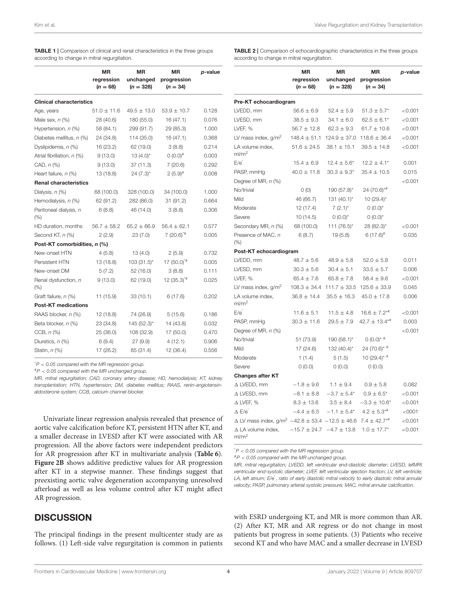|                                 | ΜR<br>regression<br>$(n = 68)$ | ΜR<br>unchanged<br>$(n = 328)$ | <b>MR</b><br>progression<br>$(n = 34)$ | p-value |
|---------------------------------|--------------------------------|--------------------------------|----------------------------------------|---------|
| <b>Clinical characteristics</b> |                                |                                |                                        |         |
| Age, years                      | $51.0 \pm 11.6$                | $49.5 \pm 13.0$                | $53.9 \pm 10.7$                        | 0.128   |
| Male sex, $n$ $(\%)$            | 28 (40.6)                      | 180 (55.0)                     | 16 (47.1)                              | 0.076   |
| Hypertension, n (%)             | 58 (84.1)                      | 299 (91.7)                     | 29 (85.3)                              | 1.000   |
| Diabetes mellitus, n (%)        | 24 (34.8)                      | 114 (35.0)                     | 16 (47.1)                              | 0.368   |
| Dyslipidemia, n (%)             | 16 (23.2)                      | 62 (19.0)                      | 3(8.8)                                 | 0.214   |
| Atrial fibrillation, n (%)      | 9(13.0)                        | $13(4.0)$ *                    | $0(0.0)^#$                             | 0.003   |
| CAD, $n$ $%$                    | 9(13.0)                        | 37(11.3)                       | 7(20.6)                                | 0.292   |
| Heart failure, n (%)            | 13 (18.8)                      | $24 (7.3)^*$                   | $2(5.9)^{\#}$                          | 0.008   |
| <b>Renal characteristics</b>    |                                |                                |                                        |         |
| Dialysis, $n$ (%)               | 68 (100.0)                     | 328 (100.0)                    | 34 (100.0)                             | 1.000   |
| Hemodialysis, n (%)             | 62 (91.2)                      | 282 (86.0)                     | 31 (91.2)                              | 0.664   |
| Peritoneal dialysis, n<br>(% )  | 6(8.8)                         | 46 (14.0)                      | 3(8.8)                                 | 0.306   |
| HD duration, months             | $56.7 \pm 58.2$                | $65.2 \pm 66.9$                | $56.4 \pm 62.1$                        | 0.577   |
| Second KT, n (%)                | 2(2.9)                         | 23(7.0)                        | $7(20.6)^{4}$                          | 0.005   |
| Post-KT comorbidities, n (%)    |                                |                                |                                        |         |
| New-onset HTN                   | 4(5.8)                         | 13(4.0)                        | 2(5.9)                                 | 0.732   |
| Persistent HTN                  | 13 (18.8)                      | $103(31.5)^{*}$                | $17(50.0)^{4}$                         | 0.005   |
| New-onset DM                    | 5(7.2)                         | 52 (16.0)                      | 3(8.8)                                 | 0.111   |
| Renal dysfunction, n<br>(% )    | 9(13.0)                        | 62 (19.0)                      | $12(35.3)^{4}$                         | 0.025   |
| Graft failure, n (%)            | 11 (15.9)                      | 33(10.1)                       | 6(17.6)                                | 0.202   |
| <b>Post-KT medications</b>      |                                |                                |                                        |         |
| RAAS blocker, n (%)             | 12 (18.8)                      | 74 (26.9)                      | 5(15.6)                                | 0.186   |
| Beta blocker, n (%)             | 23 (34.8)                      | 145 (52.3)*                    | 14 (43.8)                              | 0.032   |
| CCB, $n$ $%$                    | 25 (36.0)                      | 108 (32.9)                     | 17 (50.0)                              | 0.470   |
| Diuretics, n (%)                | 6(9.4)                         | 27 (9.9)                       | 4(12.1)                                | 0.906   |
| Statin, n (%)                   | 17 (26.2)                      | 85 (31.4)                      | 12 (36.4)                              | 0.556   |

<span id="page-3-0"></span>TABLE 1 | Comparison of clinical and renal characteristics in the three groups according to change in mitral regurgitation.

\**P* < *0.05 compared with the MR regression group.*

#*P* < *0.05 compared with the MR unchanged group.*

*MR, mitral regurgitation; CAD, coronary artery disease; HD, hemodialysis; KT, kidney transplantation; HTN, hypertension; DM, diabetes mellitus; RAAS, renin-angiotensinaldosterone system; CCB, calcium channel blocker.*

Univariate linear regression analysis revealed that presence of aortic valve calcification before KT, persistent HTN after KT, and a smaller decrease in LVESD after KT were associated with AR progression. All the above factors were independent predictors for AR progression after KT in multivariate analysis (**[Table 6](#page-6-1)**). **[Figure 2B](#page-4-1)** shows additive predictive values for AR progression after KT in a stepwise manner. These findings suggest that preexisting aortic valve degeneration accompanying unresolved afterload as well as less volume control after KT might affect AR progression.

#### **DISCUSSION**

The principal findings in the present multicenter study are as follows. (1) Left-side valve regurgitation is common in patients <span id="page-3-1"></span>TABLE 2 | Comparison of echocardiographic characteristics in the three groups according to change in mitral regurgitation.

|                                                                          | <b>MR</b><br>regression<br>$(n = 68)$ | <b>MR</b><br>unchanged<br>$(n = 328)$ | ΜR<br>progression<br>$(n = 34)$ | p-value       |
|--------------------------------------------------------------------------|---------------------------------------|---------------------------------------|---------------------------------|---------------|
| Pre-KT echocardiogram                                                    |                                       |                                       |                                 |               |
| LVEDD, mm                                                                | $56.6 \pm 6.9$                        | $52.4 \pm 5.9$                        | $51.3 \pm 5.7^*$                | < 0.001       |
| LVESD, mm                                                                | $38.5 \pm 9.3$                        | $34.1 \pm 6.0$                        | $62.5 \pm 6.1*$                 | < 0.001       |
| LVEF, %                                                                  | $56.7 \pm 12.8$                       | $62.3 \pm 9.3$                        | $61.7 \pm 10.6$                 | < 0.001       |
| LV mass index, $g/m^2$                                                   | $148.4 \pm 51.1$<br>$124.9 \pm 37.0$  |                                       | $118.6 \pm 36.4$                | < 0.001       |
| LA volume index,<br>ml/m <sup>2</sup>                                    | $51.6 \pm 24.5$                       | $38.1 \pm 15.1$                       | $39.5 \pm 14.8$                 | < 0.001       |
| E/e <sup>'</sup>                                                         | $15.4 \pm 6.9$                        | $12.4 \pm 5.6^*$                      | $12.2 \pm 4.1*$                 | 0.001         |
| PASP, mmHg                                                               | $40.0 \pm 11.8$                       | $30.3 \pm 9.3^*$                      | $35.4 \pm 10.5$                 | 0.015         |
| Degree of MR, n (%)                                                      |                                       |                                       |                                 | $<$ 0.001 $<$ |
| No/trivial                                                               | O(0)                                  | 190 (57.8)*                           | 24 (70.6)*#                     |               |
| Mild                                                                     | 46 (66.7)                             | 131 (40.1)*                           | $10(29.4)$ *                    |               |
| Moderate                                                                 | 12 (17.4)                             | $7(2.1)^{*}$                          | $0(0.0)^{*}$                    |               |
| Severe                                                                   | 10 (14.5)                             | $0(0.0)^{*}$                          | $0(0.0)^{*}$                    |               |
| Secondary MR, n (%)                                                      | 68 (100.0)                            | 111 (76.5)*                           | 28 (82.3)*                      | < 0.001       |
| Presence of MAC, n<br>$(\%)$                                             | 6(8.7)                                | 19 (5.8)                              | $6(17.6)^{\#}$                  | 0.035         |
| Post-KT echocardiogram                                                   |                                       |                                       |                                 |               |
| LVEDD, mm                                                                | $48.7 \pm 5.6$                        | $48.9 \pm 5.8$                        | $52.0 \pm 5.8$                  | 0.011         |
| LVESD, mm                                                                | $30.3 \pm 5.6$                        | $30.4 \pm 5.1$                        | $33.5 \pm 5.7$                  | 0.006         |
| LVEF, %                                                                  | $65.4 \pm 7.6$                        | $65.8 \pm 7.8$                        | $58.4 \pm 9.6$                  | < 0.001       |
| LV mass index, $q/m^2$                                                   | $108.3 \pm 34.4$                      | $111.7 \pm 33.5$                      | $125.6 \pm 33.9$                | 0.045         |
| LA volume index,<br>ml/m <sup>2</sup>                                    | $36.8 \pm 14.4$                       | $35.5 \pm 16.3$                       | $45.0 \pm 17.8$                 | 0.006         |
| E/e <sup>′</sup>                                                         | $11.6 \pm 5.1$                        | $11.5 \pm 4.8$                        | $16.6 \pm 7.2$ <sup>*#</sup>    | < 0.001       |
| PASP, mmHg                                                               | $30.3 \pm 11.6$                       | $29.5 \pm 7.9$                        | $42.7 \pm 13.4***$              | 0.003         |
| Degree of MR, n (%)                                                      |                                       |                                       |                                 | < 0.001       |
| No/trivial                                                               | 51 (73.9)                             | 190 (58.1)*                           | $0 (0.0)^*$ #                   |               |
| Mild                                                                     | 17 (24.6)                             | 132 (40.4)*                           | 24 (70.6)* #                    |               |
| Moderate                                                                 | 1(1.4)                                | 5(1.5)                                | 10 (29.4)* $#$                  |               |
| Severe                                                                   | 0(0.0)                                | 0(0.0)                                | (0.0)                           |               |
| <b>Changes after KT</b>                                                  |                                       |                                       |                                 |               |
| Δ LVEDD, mm                                                              | $-1.8 \pm 9.6$                        | $1.1 \pm 9.4$                         | $0.9 \pm 5.8$                   | 0.082         |
| $\Delta$ LVESD, mm                                                       | $-8.1 \pm 8.8$                        | $-3.7 \pm 5.4*$                       | $0.9\pm6.5^*$                   | $<$ 0.001 $<$ |
| $\Delta$ LVEF, %                                                         | $8.3 \pm 13.6$                        | $3.5 \pm 8.4$                         | $-3.3 \pm 10.6^*$               | $<$ 0.001 $<$ |
| ΔE/e΄                                                                    | $-4.4 \pm 6.5$                        | $-1.1 \pm 5.4*$                       | $4.2 \pm 5.3$ <sup>*#</sup>     | < 0001        |
| $\Delta$ LV mass index, g/m <sup>2</sup> $-42.8 \pm 53.4 -12.5 \pm 46.6$ |                                       |                                       | $7.4 \pm 42.7**$                | $<$ 0.001 $<$ |
| $\Delta$ LA volume index,<br>ml/m <sup>2</sup>                           | $-15.7 \pm 24.7$                      | $-4.7 \pm 13.8$                       | $1.0 \pm 17.7^*$                | < 0.001       |

\**P* < *0.05 compared with the MR regression group.*

#*P* < *0.05 compared with the MR unchanged group.*

*MR, mitral regurgitation; LVEDD, left ventricular end-diastolic diameter; LVESD, lefMRt ventricular end-systolic diameter; LVEF, left ventricular ejection fraction; LV, left ventricle;* LA, left atrium; E/e<sup>'</sup>, ratio of early diastolic mitral velocity to early diastolic mitral annular *velocity; PASP, pulmonary arterial systolic pressure; MAC, mitral annular calcification.*

with ESRD undergoing KT, and MR is more common than AR. (2) After KT, MR and AR regress or do not change in most patients but progress in some patients. (3) Patients who receive second KT and who have MAC and a smaller decrease in LVESD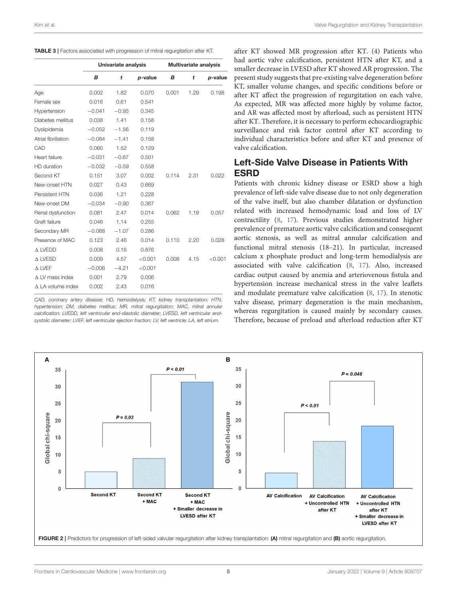<span id="page-4-0"></span>

|                             | Univariate analysis |         |         | <b>Multivariate analysis</b> |      |         |
|-----------------------------|---------------------|---------|---------|------------------------------|------|---------|
|                             | B                   | t       | p-value | В                            | t    | p-value |
| Age                         | 0.002               | 1.82    | 0.070   | 0.001                        | 1.29 | 0.198   |
| Female sex                  | 0.016               | 0.61    | 0.541   |                              |      |         |
| Hypertension                | $-0.041$            | $-0.95$ | 0.345   |                              |      |         |
| Diabetes mellitus           | 0.038               | 1.41    | 0.158   |                              |      |         |
| Dyslipidemia                | $-0.052$            | $-1.56$ | 0.119   |                              |      |         |
| Atrial fibrillation         | $-0.084$            | $-1.41$ | 0.158   |                              |      |         |
| CAD                         | 0.060               | 1.52    | 0.129   |                              |      |         |
| Heart failure               | $-0.031$            | $-0.67$ | 0.501   |                              |      |         |
| HD duration                 | $-0.032$            | $-0.59$ | 0.558   |                              |      |         |
| Second KT                   | 0.151               | 3.07    | 0.002   | 0.114                        | 2.31 | 0.022   |
| New-onset HTN               | 0.027               | 0.43    | 0.669   |                              |      |         |
| Persistent HTN              | 0.036               | 1.21    | 0.228   |                              |      |         |
| New-onset DM                | $-0.034$            | $-0.90$ | 0.367   |                              |      |         |
| Renal dysfunction           | 0.081               | 2.47    | 0.014   | 0.062                        | 1.19 | 0.057   |
| Graft failure               | 0.046               | 1.14    | 0.255   |                              |      |         |
| Secondary MR                | $-0.068$            | $-1.07$ | 0.286   |                              |      |         |
| Presence of MAC             | 0.123               | 2.46    | 0.014   | 0.110                        | 2.20 | 0.028   |
| $\triangle$ LVEDD           | 0.008               | 0.16    | 0.876   |                              |      |         |
| $\triangle$ LVESD           | 0.009               | 4.57    | < 0.001 | 0.008                        | 4.15 | < 0.001 |
| $\triangle$ LVEF            | $-0.006$            | $-4.21$ | < 0.001 |                              |      |         |
| $\triangle$ LV mass index   | 0.001               | 2.79    | 0.006   |                              |      |         |
| $\triangle$ LA volume index | 0.002               | 2.43    | 0.016   |                              |      |         |

*CAD, coronary artery disease; HD, hemodialysis; KT, kidney transplantation; HTN, hypertension; DM, diabetes mellitus; MR, mitral regurgitation; MAC, mitral annular calcification; LVEDD, left ventricular end-diastolic diameter; LVESD, left ventricular endsystolic diameter; LVEF, left ventricular ejection fraction; LV, left ventricle; LA, left atrium.*

after KT showed MR progression after KT. (4) Patients who had aortic valve calcification, persistent HTN after KT, and a smaller decrease in LVESD after KT showed AR progression. The present study suggests that pre-existing valve degeneration before KT, smaller volume changes, and specific conditions before or after KT affect the progression of regurgitation on each valve. As expected, MR was affected more highly by volume factor, and AR was affected most by afterload, such as persistent HTN after KT. Therefore, it is necessary to perform echocardiographic surveillance and risk factor control after KT according to individual characteristics before and after KT and presence of valve calcification.

#### Left-Side Valve Disease in Patients With **FSRD**

Patients with chronic kidney disease or ESRD show a high prevalence of left-side valve disease due to not only degeneration of the valve itself, but also chamber dilatation or dysfunction related with increased hemodynamic load and loss of LV contractility [\(8,](#page-7-5) [17\)](#page-7-15). Previous studies demonstrated higher prevalence of premature aortic valve calcification and consequent aortic stenosis, as well as mitral annular calcification and functional mitral stenosis (18–21). In particular, increased calcium x phosphate product and long-term hemodialysis are associated with valve calcification [\(8,](#page-7-5) [17\)](#page-7-15). Also, increased cardiac output caused by anemia and arteriovenous fistula and hypertension increase mechanical stress in the valve leaflets and modulate premature valve calcification [\(8,](#page-7-5) [17\)](#page-7-15). In stenotic valve disease, primary degeneration is the main mechanism, whereas regurgitation is caused mainly by secondary causes. Therefore, because of preload and afterload reduction after KT

<span id="page-4-1"></span>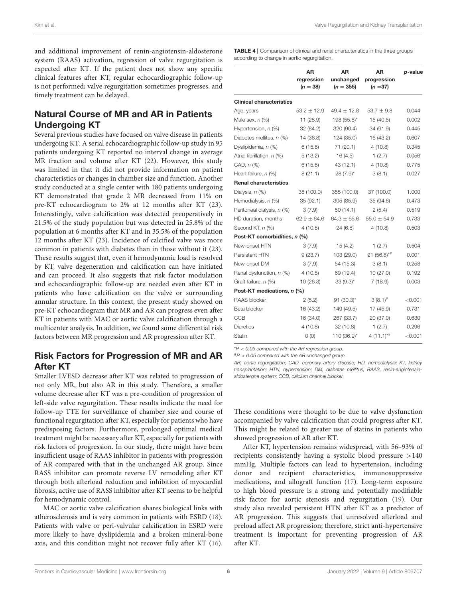and additional improvement of renin-angiotensin-aldosterone system (RAAS) activation, regression of valve regurgitation is expected after KT. If the patient does not show any specific clinical features after KT, regular echocardiographic follow-up is not performed; valve regurgitation sometimes progresses, and timely treatment can be delayed.

#### Natural Course of MR and AR in Patients Undergoing KT

Several previous studies have focused on valve disease in patients undergoing KT. A serial echocardiographic follow-up study in 95 patients undergoing KT reported no interval change in average MR fraction and volume after KT (22). However, this study was limited in that it did not provide information on patient characteristics or changes in chamber size and function. Another study conducted at a single center with 180 patients undergoing KT demonstrated that grade 2 MR decreased from 11% on pre-KT echocardiogram to 2% at 12 months after KT (23). Interestingly, valve calcification was detected preoperatively in 21.5% of the study population but was detected in 25.8% of the population at 6 months after KT and in 35.5% of the population 12 months after KT (23). Incidence of calcified valve was more common in patients with diabetes than in those without it (23). These results suggest that, even if hemodynamic load is resolved by KT, valve degeneration and calcification can have initiated and can proceed. It also suggests that risk factor modulation and echocardiographic follow-up are needed even after KT in patients who have calcification on the valve or surrounding annular structure. In this context, the present study showed on pre-KT echocardiogram that MR and AR can progress even after KT in patients with MAC or aortic valve calcification through a multicenter analysis. In addition, we found some differential risk factors between MR progression and AR progression after KT.

#### Risk Factors for Progression of MR and AR After KT

Smaller LVESD decrease after KT was related to progression of not only MR, but also AR in this study. Therefore, a smaller volume decrease after KT was a pre-condition of progression of left-side valve regurgitation. These results indicate the need for follow-up TTE for surveillance of chamber size and course of functional regurgitation after KT, especially for patients who have predisposing factors. Furthermore, prolonged optimal medical treatment might be necessary after KT, especially for patients with risk factors of progression. In our study, there might have been insufficient usage of RAAS inhibitor in patients with progression of AR compared with that in the unchanged AR group. Since RASS inhibitor can promote reverse LV remodeling after KT through both afterload reduction and inhibition of myocardial fibrosis, active use of RASS inhibitor after KT seems to be helpful for hemodynamic control.

MAC or aortic valve calcification shares biological links with atherosclerosis and is very common in patients with ESRD [\(18\)](#page-7-16). Patients with valve or peri-valvular calcification in ESRD were more likely to have dyslipidemia and a broken mineral-bone axis, and this condition might not recover fully after KT [\(16\)](#page-7-13).

<span id="page-5-0"></span>TABLE 4 | Comparison of clinical and renal characteristics in the three groups according to change in aortic regurgitation.

|                                 | AR<br>regression<br>$(n = 38)$ | AR<br>unchanged<br>$(n = 355)$ | AR<br>progression<br>$(n = 37)$ | p-value |
|---------------------------------|--------------------------------|--------------------------------|---------------------------------|---------|
| <b>Clinical characteristics</b> |                                |                                |                                 |         |
| Age, years                      | $53.2 \pm 12.9$                | $49.4 \pm 12.8$                | $53.7 \pm 9.8$                  | 0.044   |
| Male sex, $n$ $(\%)$            | 11 (28.9)                      | 198 (55.8)*                    | 15 (40.5)                       | 0.002   |
| Hypertension, n (%)             | 32 (84.2)                      | 320 (90.4)                     | 34 (91.9)                       | 0.445   |
| Diabetes mellitus, n (%)        | 14 (36.8)                      | 124 (35.0)                     | 16 (43.2)                       | 0.607   |
| Dyslipidemia, n (%)             | 6(15.8)                        | 71 (20.1)                      | 4(10.8)                         | 0.345   |
| Atrial fibrillation, n (%)      | 5(13.2)                        | 16(4.5)                        | 1(2.7)                          | 0.056   |
| CAD, $n$ $%$                    | 6(15.8)                        | 43 (12.1)                      | 4(10.8)                         | 0.775   |
| Heart failure, n (%)            | 8(21.1)                        | $28(7.9)$ *                    | 3(8.1)                          | 0.027   |
| <b>Renal characteristics</b>    |                                |                                |                                 |         |
| Dialysis, $n$ (%)               | 38 (100.0)                     | 355 (100.0)                    | 37 (100.0)                      | 1.000   |
| Hemodialysis, n (%)             | 35(92.1)                       | 305 (85.9)                     | 35 (94.6)                       | 0.473   |
| Peritoneal dialysis, n (%)      | 3(7.9)                         | 50(14.1)                       | 2(5.4)                          | 0.519   |
| HD duration, months             | $62.9 \pm 64.6$                | $64.3 \pm 66.6$                | $55.0 \pm 54.9$                 | 0.733   |
| Second KT, n (%)                | 4(10.5)                        | 24(6.8)                        | 4(10.8)                         | 0.503   |
| Post-KT comorbidities, n (%)    |                                |                                |                                 |         |
| New-onset HTN                   | 3 (7.9)                        | 15(4.2)                        | 1(2.7)                          | 0.504   |
| Persistent HTN                  | 9(23.7)                        | 103 (29.0)                     | $21 (56.8)$ * <sup>#</sup>      | 0.001   |
| New-onset DM                    | 3(7.9)                         | 54 (15.3)                      | 3(8.1)                          | 0.258   |
| Renal dysfunction, n (%)        | 4(10.5)                        | 69 (19.4)                      | 10(27.0)                        | 0.192   |
| Graft failure, n (%)            | 10(26.3)                       | $33(9.3)$ *                    | 7(18.9)                         | 0.003   |
| Post-KT medications, n (%)      |                                |                                |                                 |         |
| RAAS blocker                    | 2(5.2)                         | $91 (30.3)^*$                  | $3(8.1)^{\#}$                   | < 0.001 |
| Beta blocker                    | 16 (43.2)                      | 149 (49.5)                     | 17 (45.9)                       | 0.731   |
| <b>CCB</b>                      | 16 (34.0)                      | 267 (33.7)                     | 20 (37.0)                       | 0.630   |
| <b>Diuretics</b>                | 4(10.8)                        | 32 (10.8)                      | 1(2.7)                          | 0.296   |
| Statin                          | 0(0)                           | 110 (36.9)*                    | $4(11.1)^{**}$                  | < 0.001 |

\**P* < *0.05 compared with the AR regression group.*

#*P* < *0.05 compared with the AR unchanged group.*

*AR, aortic regurgitation; CAD, coronary artery disease; HD, hemodialysis; KT, kidney transplantation; HTN, hypertension; DM, diabetes mellitus; RAAS, renin-angiotensinaldosterone system; CCB, calcium channel blocker.*

These conditions were thought to be due to valve dysfunction accompanied by valve calcification that could progress after KT. This might be related to greater use of statins in patients who showed progression of AR after KT.

After KT, hypertension remains widespread, with 56–93% of recipients consistently having a systolic blood pressure >140 mmHg. Multiple factors can lead to hypertension, including donor and recipient characteristics, immunosuppressive medications, and allograft function [\(17\)](#page-7-15). Long-term exposure to high blood pressure is a strong and potentially modifiable risk factor for aortic stenosis and regurgitation [\(19\)](#page-7-17). Our study also revealed persistent HTN after KT as a predictor of AR progression. This suggests that unresolved afterload and preload affect AR progression; therefore, strict anti-hypertensive treatment is important for preventing progression of AR after KT.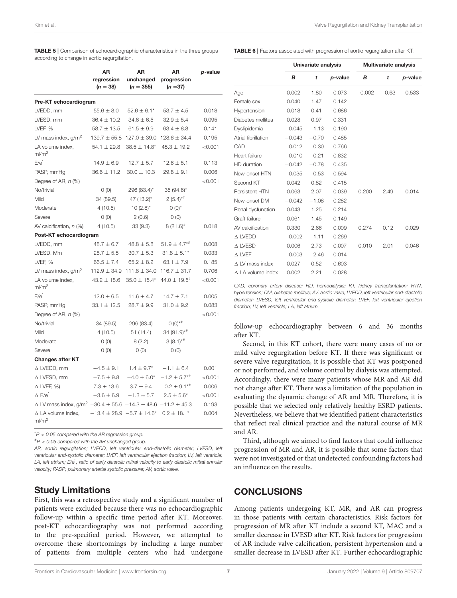Univariate analysis Multivariate analysis

|                                                                                             | AR<br>regression<br>$(n = 38)$ | AR<br>unchanged<br>$(n = 355)$   | AR<br>progression<br>$(n = 37)$ | p-value |  |
|---------------------------------------------------------------------------------------------|--------------------------------|----------------------------------|---------------------------------|---------|--|
| Pre-KT echocardiogram                                                                       |                                |                                  |                                 |         |  |
| LVEDD, mm                                                                                   | $55.6 \pm 8.0$                 | $52.6 \pm 6.1*$                  | $53.7 \pm 4.5$                  | 0.018   |  |
| LVESD, mm                                                                                   | $36.4 \pm 10.2$                | $34.6 \pm 6.5$                   | $32.9 \pm 5.4$                  | 0.095   |  |
| LVEF, %                                                                                     | $58.7 \pm 13.5$                | $61.5 \pm 9.9$                   | $63.4 \pm 8.8$                  | 0.141   |  |
| LV mass index, $g/m^2$                                                                      | $139.7 \pm 55.8$               | $127.0 \pm 39.0$                 | $128.6 \pm 34.4$                | 0.195   |  |
| LA volume index,<br>ml/m <sup>2</sup>                                                       | $54.1 \pm 29.8$                | $38.5 \pm 14.8^*$                | $45.3 \pm 19.2$                 | < 0.001 |  |
| $E/e^{'}$                                                                                   | $14.9 \pm 6.9$                 | $12.7 \pm 5.7$                   | $12.6 \pm 5.1$                  | 0.113   |  |
| PASP, mmHg                                                                                  | $36.6 \pm 11.2$                | $30.0 \pm 10.3$                  | $29.8 \pm 9.1$                  | 0.006   |  |
| Degree of AR, $n$ (%)                                                                       |                                |                                  |                                 | < 0.001 |  |
| No/trivial                                                                                  | O(0)                           | 296 (83.4)*                      | $35(94.6)$ *                    |         |  |
| Mild                                                                                        | 34 (89.5)                      | 47 (13.2)*                       | $2(5.4)$ <sup>*#</sup>          |         |  |
| Moderate                                                                                    | 4(10.5)                        | 10 $(2.8)$ <sup>*</sup>          | $0(0)^*$                        |         |  |
| Severe                                                                                      | O(0)                           | 2(0.6)                           | O(0)                            |         |  |
| AV calcification, $n$ (%)                                                                   | 4(10.5)                        | 33(9.3)                          | $8(21.6)^{\#}$                  | 0.018   |  |
| Post-KT echocardiogram                                                                      |                                |                                  |                                 |         |  |
| LVEDD, mm                                                                                   | $48.7 \pm 6.7$                 | $48.8 \pm 5.8$                   | $51.9 \pm 4.7**$                | 0.008   |  |
| LVESD. Mm                                                                                   | $28.7 \pm 5.5$                 | $30.7 \pm 5.3$                   | $31.8 \pm 5.1*$                 | 0.033   |  |
| LVEF. %                                                                                     | $66.5 \pm 7.4$                 | $65.2 \pm 8.2$                   | $63.1 \pm 7.9$                  | 0.185   |  |
| LV mass index, $g/m^2$                                                                      | $112.9 \pm 34.9$               | $111.8 \pm 34.0$                 | $116.7 \pm 31.7$                | 0.706   |  |
| LA volume index,<br>ml/m <sup>2</sup>                                                       | $43.2 \pm 18.6$                | $35.0 \pm 15.4*$                 | $44.0 \pm 19.5^{\text{*}}$      | < 0.001 |  |
| E/e'                                                                                        | $12.0 \pm 6.5$                 | $11.6 \pm 4.7$                   | $14.7 \pm 7.1$                  | 0.005   |  |
| PASP, mmHg                                                                                  | $33.1 \pm 12.5$                | $28.7 \pm 9.9$                   | $31.0 \pm 9.2$                  | 0.083   |  |
| Degree of AR, n (%)                                                                         |                                |                                  |                                 | < 0.001 |  |
| No/trivial                                                                                  | 34 (89.5)                      | 296 (83.4)                       | $0 (0)$ * <sup>#</sup>          |         |  |
| Mild                                                                                        | 4(10.5)                        | 51 (14.4)                        | 34 (91.9)*#                     |         |  |
| Moderate                                                                                    | O(0)                           | 8(2.2)                           | $3(8.1)$ <sup>*#</sup>          |         |  |
| Severe                                                                                      | O(0)                           | 0(0)                             | 0(0)                            |         |  |
| <b>Changes after KT</b>                                                                     |                                |                                  |                                 |         |  |
| A LVEDD, mm                                                                                 | $-4.5 \pm 9.1$                 | $1.4 \pm 9.7^*$                  | $-1.1 \pm 6.4$                  | 0.001   |  |
| $\Delta$ LVESD, mm                                                                          | $-7.5 \pm 9.8$                 | $-4.0 \pm 6.0^*$                 | $-1.2 \pm 5.7$ <sup>*#</sup>    | < 0.001 |  |
| $\Delta$ LVEF, %)                                                                           | $7.3 \pm 13.6$                 | $3.7 \pm 9.4$                    | $-0.2 \pm 9.1$ <sup>**</sup>    | 0.006   |  |
| $\Delta$ E/e <sup><math>'</math></sup>                                                      | $-3.6 \pm 6.9$                 | $-1.3 \pm 5.7$                   | $2.5 \pm 5.6^*$                 | < 0.001 |  |
| $\Delta$ LV mass index, g/m <sup>2</sup> -30.4 $\pm$ 55.6 -14.3 $\pm$ 48.6 -11.2 $\pm$ 45.3 |                                |                                  |                                 | 0.193   |  |
| $\Delta$ LA volume index,<br>ml/m <sup>2</sup>                                              |                                | $-13.4 \pm 28.9 -5.7 \pm 14.6^*$ | $0.2 \pm 18.1*$                 | 0.004   |  |

<span id="page-6-0"></span>TABLE 5 | Comparison of echocardiographic characteristics in the three groups according to change in aortic regurgitation.

<span id="page-6-1"></span>TABLE 6 | Factors associated with progression of aortic regurgitation after KT.

|                          | В        | t       | p-value | в        | t       | p-value |  |
|--------------------------|----------|---------|---------|----------|---------|---------|--|
| Age                      | 0.002    | 1.80    | 0.073   | $-0.002$ | $-0.63$ | 0.533   |  |
| Female sex               | 0.040    | 1.47    | 0.142   |          |         |         |  |
| Hypertension             | 0.018    | 0.41    | 0.686   |          |         |         |  |
| Diabetes mellitus        | 0.028    | 0.97    | 0.331   |          |         |         |  |
| Dyslipidemia             | $-0.045$ | $-1.13$ | 0.190   |          |         |         |  |
| Atrial fibrillation      | $-0.043$ | $-0.70$ | 0.485   |          |         |         |  |
| CAD                      | $-0.012$ | $-0.30$ | 0.766   |          |         |         |  |
| Heart failure            | $-0.010$ | $-0.21$ | 0.832   |          |         |         |  |
| HD duration              | $-0.042$ | $-0.78$ | 0.435   |          |         |         |  |
| New-onset HTN            | $-0.035$ | $-0.53$ | 0.594   |          |         |         |  |
| Second KT                | 0.042    | 0.82    | 0.415   |          |         |         |  |
| Persistent HTN           | 0.063    | 2.07    | 0.039   | 0.200    | 2.49    | 0.014   |  |
| New-onset DM             | $-0.042$ | $-1.08$ | 0.282   |          |         |         |  |
| Renal dysfunction        | 0.043    | 1.25    | 0.214   |          |         |         |  |
| Graft failure            | 0.061    | 1.45    | 0.149   |          |         |         |  |
| AV calcification         | 0.330    | 2.66    | 0.009   | 0.274    | 0.12    | 0.029   |  |
| $\triangle$ LVEDD        | $-0.002$ | $-1.11$ | 0.269   |          |         |         |  |
| $\triangle$ LVESD        | 0.006    | 2.73    | 0.007   | 0.010    | 2.01    | 0.046   |  |
| $\triangle$ LVEF         | $-0.003$ | $-2.46$ | 0.014   |          |         |         |  |
| $\Delta$ LV mass index   | 0.027    | 0.52    | 0.603   |          |         |         |  |
| $\Delta$ LA volume index | 0.002    | 2.21    | 0.028   |          |         |         |  |
|                          |          |         |         |          |         |         |  |

*CAD, coronary artery disease; HD, hemodialysis; KT, kidney transplantation; HTN, hypertension; DM, diabetes mellitus; AV, aortic valve; LVEDD, left ventricular end-diastolic diameter; LVESD, left ventricular end-systolic diameter; LVEF, left ventricular ejection fraction; LV, left ventricle; LA, left atrium.*

follow-up echocardiography between 6 and 36 months after KT.

Second, in this KT cohort, there were many cases of no or mild valve regurgitation before KT. If there was significant or severe valve regurgitation, it is possible that KT was postponed or not performed, and volume control by dialysis was attempted. Accordingly, there were many patients whose MR and AR did not change after KT. There was a limitation of the population in evaluating the dynamic change of AR and MR. Therefore, it is possible that we selected only relatively healthy ESRD patients. Nevertheless, we believe that we identified patient characteristics that reflect real clinical practice and the natural course of MR and AR.

Third, although we aimed to find factors that could influence progression of MR and AR, it is possible that some factors that were not investigated or that undetected confounding factors had an influence on the results.

#### **CONCLUSIONS**

Among patients undergoing KT, MR, and AR can progress in those patients with certain characteristics. Risk factors for progression of MR after KT include a second KT, MAC and a smaller decrease in LVESD after KT. Risk factors for progression of AR include valve calcification, persistent hypertension and a smaller decrease in LVESD after KT. Further echocardiographic

\**P* < *0.05 compared with the AR regression group.*

#*P* < *0.05 compared with the AR unchanged group.*

*AR, aortic regurgitation; LVEDD, left ventricular end-diastolic diameter; LVESD, left ventricular end-systolic diameter; LVEF, left ventricular ejection fraction; LV, left ventricle; LA, left atrium; E/e*′ *, ratio of early diastolic mitral velocity to early diastolic mitral annular velocity; PASP; pulmonary arterial systolic pressure; AV, aortic valve.*

#### Study Limitations

First, this was a retrospective study and a significant number of patients were excluded because there was no echocardiographic follow-up within a specific time period after KT. Moreover, post-KT echocardiography was not performed according to the pre-specified period. However, we attempted to overcome these shortcomings by including a large number of patients from multiple centers who had undergone